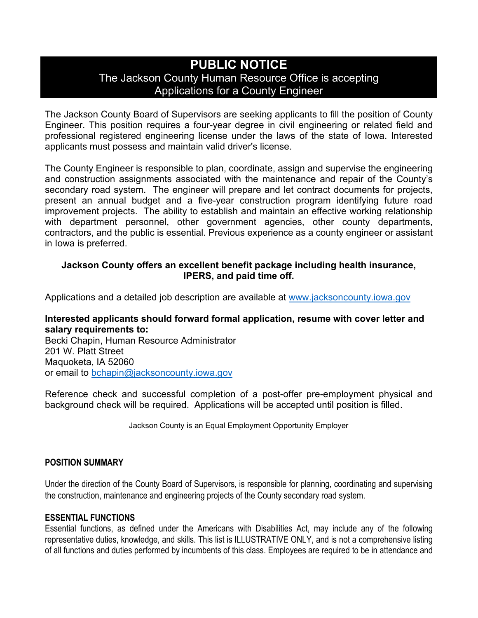# **PUBLIC NOTICE** The Jackson County Human Resource Office is accepting Applications for a County Engineer

The Jackson County Board of Supervisors are seeking applicants to fill the position of County Engineer. This position requires a four-year degree in civil engineering or related field and professional registered engineering license under the laws of the state of Iowa. Interested applicants must possess and maintain valid driver's license.

The County Engineer is responsible to plan, coordinate, assign and supervise the engineering and construction assignments associated with the maintenance and repair of the County's secondary road system. The engineer will prepare and let contract documents for projects, present an annual budget and a five-year construction program identifying future road improvement projects. The ability to establish and maintain an effective working relationship with department personnel, other government agencies, other county departments, contractors, and the public is essential. Previous experience as a county engineer or assistant in Iowa is preferred.

# **Jackson County offers an excellent benefit package including health insurance, IPERS, and paid time off.**

Applications and a detailed job description are available at [www.jacksoncounty.iowa.gov](http://www.jacksoncounty.iowa.gov/) 

## **Interested applicants should forward formal application, resume with cover letter and salary requirements to:**

Becki Chapin, Human Resource Administrator 201 W. Platt Street Maquoketa, IA 52060 or email to [bchapin@jacksoncounty.iowa.gov](mailto:bchapin@jacksoncounty.iowa.gov)

Reference check and successful completion of a post-offer pre-employment physical and background check will be required. Applications will be accepted until position is filled.

Jackson County is an Equal Employment Opportunity Employer

## **POSITION SUMMARY**

Under the direction of the County Board of Supervisors, is responsible for planning, coordinating and supervising the construction, maintenance and engineering projects of the County secondary road system.

#### **ESSENTIAL FUNCTIONS**

Essential functions, as defined under the Americans with Disabilities Act, may include any of the following representative duties, knowledge, and skills. This list is ILLUSTRATIVE ONLY, and is not a comprehensive listing of all functions and duties performed by incumbents of this class. Employees are required to be in attendance and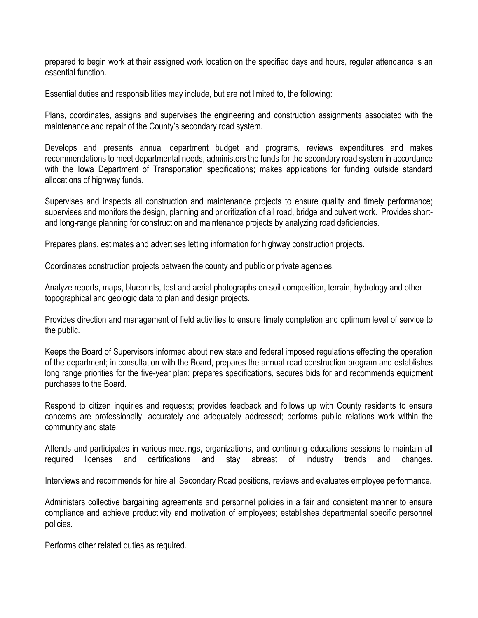prepared to begin work at their assigned work location on the specified days and hours, regular attendance is an essential function.

Essential duties and responsibilities may include, but are not limited to, the following:

Plans, coordinates, assigns and supervises the engineering and construction assignments associated with the maintenance and repair of the County's secondary road system.

Develops and presents annual department budget and programs, reviews expenditures and makes recommendations to meet departmental needs, administers the funds for the secondary road system in accordance with the Iowa Department of Transportation specifications; makes applications for funding outside standard allocations of highway funds.

Supervises and inspects all construction and maintenance projects to ensure quality and timely performance; supervises and monitors the design, planning and prioritization of all road, bridge and culvert work. Provides shortand long-range planning for construction and maintenance projects by analyzing road deficiencies.

Prepares plans, estimates and advertises letting information for highway construction projects.

Coordinates construction projects between the county and public or private agencies.

Analyze reports, maps, blueprints, test and aerial photographs on soil composition, terrain, hydrology and other topographical and geologic data to plan and design projects.

Provides direction and management of field activities to ensure timely completion and optimum level of service to the public.

Keeps the Board of Supervisors informed about new state and federal imposed regulations effecting the operation of the department; in consultation with the Board, prepares the annual road construction program and establishes long range priorities for the five-year plan; prepares specifications, secures bids for and recommends equipment purchases to the Board.

Respond to citizen inquiries and requests; provides feedback and follows up with County residents to ensure concerns are professionally, accurately and adequately addressed; performs public relations work within the community and state.

Attends and participates in various meetings, organizations, and continuing educations sessions to maintain all required licenses and certifications and stay abreast of industry trends and changes.

Interviews and recommends for hire all Secondary Road positions, reviews and evaluates employee performance.

Administers collective bargaining agreements and personnel policies in a fair and consistent manner to ensure compliance and achieve productivity and motivation of employees; establishes departmental specific personnel policies.

Performs other related duties as required.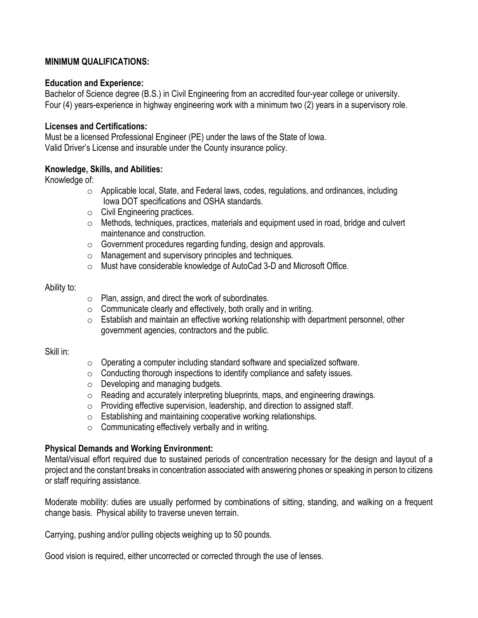## **MINIMUM QUALIFICATIONS:**

#### **Education and Experience:**

Bachelor of Science degree (B.S.) in Civil Engineering from an accredited four-year college or university. Four (4) years-experience in highway engineering work with a minimum two (2) years in a supervisory role.

#### **Licenses and Certifications:**

Must be a licensed Professional Engineer (PE) under the laws of the State of Iowa. Valid Driver's License and insurable under the County insurance policy.

## **Knowledge, Skills, and Abilities:**

Knowledge of:

- $\circ$  Applicable local, State, and Federal laws, codes, regulations, and ordinances, including Iowa DOT specifications and OSHA standards.
- o Civil Engineering practices.
- o Methods, techniques, practices, materials and equipment used in road, bridge and culvert maintenance and construction.
- o Government procedures regarding funding, design and approvals.
- o Management and supervisory principles and techniques.
- o Must have considerable knowledge of AutoCad 3-D and Microsoft Office.

#### Ability to:

- o Plan, assign, and direct the work of subordinates.
- $\circ$  Communicate clearly and effectively, both orally and in writing.
- $\circ$  Establish and maintain an effective working relationship with department personnel, other government agencies, contractors and the public.

#### Skill in:

- o Operating a computer including standard software and specialized software.
- o Conducting thorough inspections to identify compliance and safety issues.
- o Developing and managing budgets.
- o Reading and accurately interpreting blueprints, maps, and engineering drawings.
- o Providing effective supervision, leadership, and direction to assigned staff.
- o Establishing and maintaining cooperative working relationships.
- $\circ$  Communicating effectively verbally and in writing.

#### **Physical Demands and Working Environment:**

Mental/visual effort required due to sustained periods of concentration necessary for the design and layout of a project and the constant breaks in concentration associated with answering phones or speaking in person to citizens or staff requiring assistance.

Moderate mobility: duties are usually performed by combinations of sitting, standing, and walking on a frequent change basis. Physical ability to traverse uneven terrain.

Carrying, pushing and/or pulling objects weighing up to 50 pounds.

Good vision is required, either uncorrected or corrected through the use of lenses.